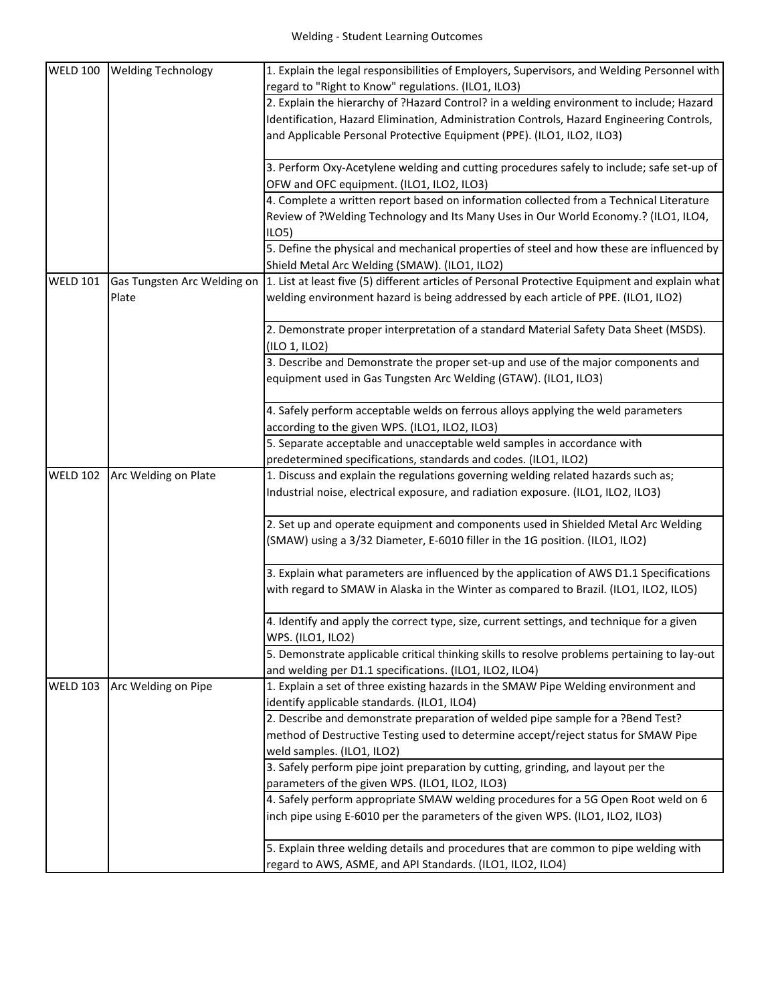| <b>WELD 100</b> | <b>Welding Technology</b>   | 1. Explain the legal responsibilities of Employers, Supervisors, and Welding Personnel with    |
|-----------------|-----------------------------|------------------------------------------------------------------------------------------------|
|                 |                             | regard to "Right to Know" regulations. (ILO1, ILO3)                                            |
|                 |                             | 2. Explain the hierarchy of ?Hazard Control? in a welding environment to include; Hazard       |
|                 |                             | Identification, Hazard Elimination, Administration Controls, Hazard Engineering Controls,      |
|                 |                             | and Applicable Personal Protective Equipment (PPE). (ILO1, ILO2, ILO3)                         |
|                 |                             |                                                                                                |
|                 |                             | 3. Perform Oxy-Acetylene welding and cutting procedures safely to include; safe set-up of      |
|                 |                             | OFW and OFC equipment. (ILO1, ILO2, ILO3)                                                      |
|                 |                             | 4. Complete a written report based on information collected from a Technical Literature        |
|                 |                             | Review of ?Welding Technology and Its Many Uses in Our World Economy.? (ILO1, ILO4,            |
|                 |                             | ILO5)                                                                                          |
|                 |                             | 5. Define the physical and mechanical properties of steel and how these are influenced by      |
|                 |                             | Shield Metal Arc Welding (SMAW). (ILO1, ILO2)                                                  |
| <b>WELD 101</b> | Gas Tungsten Arc Welding on | 1. List at least five (5) different articles of Personal Protective Equipment and explain what |
|                 | Plate                       | welding environment hazard is being addressed by each article of PPE. (ILO1, ILO2)             |
|                 |                             |                                                                                                |
|                 |                             | 2. Demonstrate proper interpretation of a standard Material Safety Data Sheet (MSDS).          |
|                 |                             | (ILO 1, ILO2)                                                                                  |
|                 |                             | 3. Describe and Demonstrate the proper set-up and use of the major components and              |
|                 |                             | equipment used in Gas Tungsten Arc Welding (GTAW). (ILO1, ILO3)                                |
|                 |                             |                                                                                                |
|                 |                             | 4. Safely perform acceptable welds on ferrous alloys applying the weld parameters              |
|                 |                             | according to the given WPS. (ILO1, ILO2, ILO3)                                                 |
|                 |                             | 5. Separate acceptable and unacceptable weld samples in accordance with                        |
|                 |                             | predetermined specifications, standards and codes. (ILO1, ILO2)                                |
| <b>WELD 102</b> | Arc Welding on Plate        | 1. Discuss and explain the regulations governing welding related hazards such as;              |
|                 |                             | Industrial noise, electrical exposure, and radiation exposure. (ILO1, ILO2, ILO3)              |
|                 |                             |                                                                                                |
|                 |                             | 2. Set up and operate equipment and components used in Shielded Metal Arc Welding              |
|                 |                             | (SMAW) using a 3/32 Diameter, E-6010 filler in the 1G position. (ILO1, ILO2)                   |
|                 |                             |                                                                                                |
|                 |                             | 3. Explain what parameters are influenced by the application of AWS D1.1 Specifications        |
|                 |                             | with regard to SMAW in Alaska in the Winter as compared to Brazil. (ILO1, ILO2, ILO5)          |
|                 |                             |                                                                                                |
|                 |                             | 4. Identify and apply the correct type, size, current settings, and technique for a given      |
|                 |                             | WPS. (ILO1, ILO2)                                                                              |
|                 |                             | 5. Demonstrate applicable critical thinking skills to resolve problems pertaining to lay-out   |
|                 |                             | and welding per D1.1 specifications. (ILO1, ILO2, ILO4)                                        |
| <b>WELD 103</b> | Arc Welding on Pipe         | 1. Explain a set of three existing hazards in the SMAW Pipe Welding environment and            |
|                 |                             | identify applicable standards. (ILO1, ILO4)                                                    |
|                 |                             | 2. Describe and demonstrate preparation of welded pipe sample for a ?Bend Test?                |
|                 |                             | method of Destructive Testing used to determine accept/reject status for SMAW Pipe             |
|                 |                             | weld samples. (ILO1, ILO2)                                                                     |
|                 |                             | 3. Safely perform pipe joint preparation by cutting, grinding, and layout per the              |
|                 |                             | parameters of the given WPS. (ILO1, ILO2, ILO3)                                                |
|                 |                             | 4. Safely perform appropriate SMAW welding procedures for a 5G Open Root weld on 6             |
|                 |                             | inch pipe using E-6010 per the parameters of the given WPS. (ILO1, ILO2, ILO3)                 |
|                 |                             |                                                                                                |
|                 |                             | 5. Explain three welding details and procedures that are common to pipe welding with           |
|                 |                             | regard to AWS, ASME, and API Standards. (ILO1, ILO2, ILO4)                                     |
|                 |                             |                                                                                                |